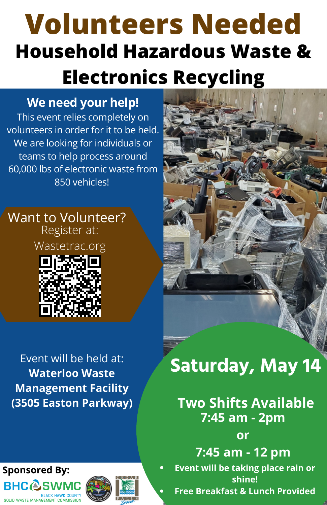# **Household Hazardous Waste & Electronics Recycling Volunteers Needed**

### **We need your help!**

This event relies completely on volunteers in order for it to be held. We are looking for individuals or teams to help process around 60,000 lbs of electronic waste from 850 vehicles!

#### Want to Volunteer? Register at:

Wastetrac.org



### Event will be held at: **Waterloo Waste Management Facility (3505 Easton Parkway)**

## **Sponsored By:BHCASW**





## **Saturday, May 14**

### **7:45 am - 2pm Two Shifts Available**

**or**

**7:45 am - 12 pm Event will be taking place rain or shine! Free Breakfast & Lunch Provided**